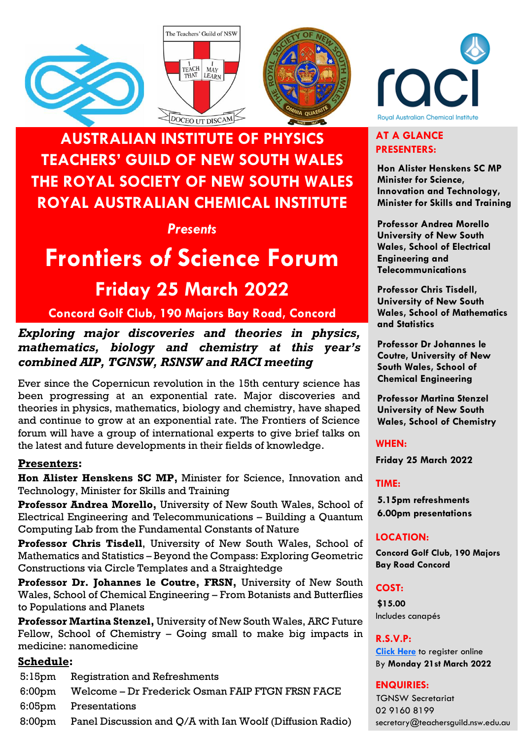





# **AUSTRALIAN INSTITUTE OF PHYSICS TEACHERS' GUILD OF NEW SOUTH WALES THE ROYAL SOCIETY OF NEW SOUTH WALES ROYAL AUSTRALIAN CHEMICAL INSTITUTE**

# *Presents*

# **Frontiers** *of* **Science Forum Friday 25 March 2022**

# **Concord Golf Club, 190 Majors Bay Road, Concord**

# *Exploring major discoveries and theories in physics, mathematics, biology and chemistry at this year's combined AIP, TGNSW, RSNSW and RACI meeting*

Ever since the Copernicun revolution in the 15th century science has been progressing at an exponential rate. Major discoveries and theories in physics, mathematics, biology and chemistry, have shaped and continue to grow at an exponential rate. The Frontiers of Science forum will have a group of international experts to give brief talks on the latest and future developments in their fields of knowledge.

# **Presenters:**

**Hon Alister Henskens SC MP,** Minister for Science, Innovation and Technology, Minister for Skills and Training

**Professor Andrea Morello,** University of New South Wales, School of Electrical Engineering and Telecommunications – Building a Quantum Computing Lab from the Fundamental Constants of Nature

**Professor Chris Tisdell**, University of New South Wales, School of Mathematics and Statistics – Beyond the Compass: Exploring Geometric Constructions via Circle Templates and a Straightedge

**Professor Dr. Johannes le Coutre, FRSN,** University of New South Wales, School of Chemical Engineering – From Botanists and Butterflies to Populations and Planets

**Professor Martina Stenzel,** University of New South Wales, ARC Future Fellow, School of Chemistry – Going small to make big impacts in medicine: nanomedicine

# **Schedule:**

- 5:15pm Registration and Refreshments
- 6:00pm Welcome Dr Frederick Osman FAIP FTGN FRSN FACE
- 6:05pm Presentations
- 8:00pm Panel Discussion and Q/A with Ian Woolf (Diffusion Radio)



## **AT A GLANCE PRESENTERS:**

**Hon Alister Henskens SC MP Minister for Science, Innovation and Technology, Minister for Skills and Training**

**Professor Andrea Morello University of New South Wales, School of Electrical Engineering and Telecommunications**

**Professor Chris Tisdell, University of New South Wales, School of Mathematics and Statistics**

**Professor Dr Johannes le Coutre, University of New South Wales, School of Chemical Engineering**

**Professor Martina Stenzel University of New South Wales, School of Chemistry**

**WHEN:**

**Friday 25 March 2022**

**TIME:** 

**5.15pm refreshments 6.00pm presentations**

### **LOCATION:**

**Concord Golf Club, 190 Majors Bay Road Concord**

**COST:**

**\$15.00** Includes canapés

**R.S.V.P:**

**[Click Here](https://tas.currinda.com/register/event/2244)** to register online By **Monday 21st March 2022**

**ENQUIRIES:** TGNSW Secretariat 02 9160 8199 secretary@teachersguild.nsw.edu.au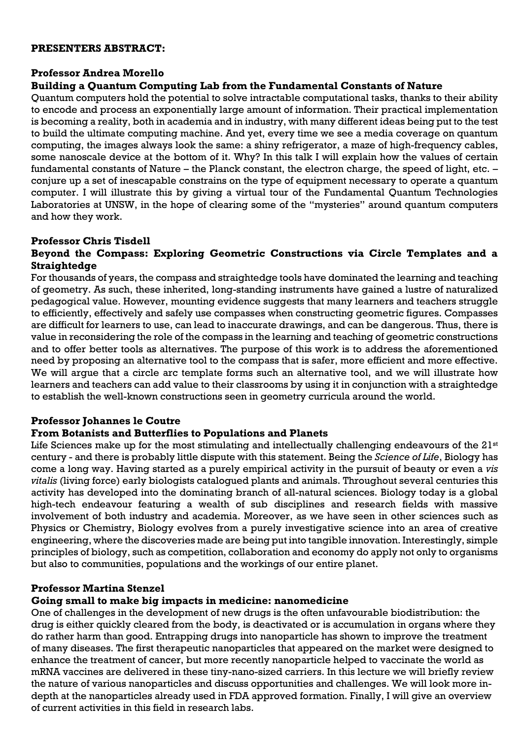#### **PRESENTERS ABSTRACT:**

#### **Professor Andrea Morello**

#### **Building a Quantum Computing Lab from the Fundamental Constants of Nature**

Quantum computers hold the potential to solve intractable computational tasks, thanks to their ability to encode and process an exponentially large amount of information. Their practical implementation is becoming a reality, both in academia and in industry, with many different ideas being put to the test to build the ultimate computing machine. And yet, every time we see a media coverage on quantum computing, the images always look the same: a shiny refrigerator, a maze of high-frequency cables, some nanoscale device at the bottom of it. Why? In this talk I will explain how the values of certain fundamental constants of Nature – the Planck constant, the electron charge, the speed of light, etc. – conjure up a set of inescapable constrains on the type of equipment necessary to operate a quantum computer. I will illustrate this by giving a virtual tour of the Fundamental Quantum Technologies Laboratories at UNSW, in the hope of clearing some of the "mysteries" around quantum computers and how they work.

#### **Professor Chris Tisdell**

#### **Beyond the Compass: Exploring Geometric Constructions via Circle Templates and a Straightedge**

For thousands of years, the compass and straightedge tools have dominated the learning and teaching of geometry. As such, these inherited, long-standing instruments have gained a lustre of naturalized pedagogical value. However, mounting evidence suggests that many learners and teachers struggle to efficiently, effectively and safely use compasses when constructing geometric figures. Compasses are difficult for learners to use, can lead to inaccurate drawings, and can be dangerous. Thus, there is value in reconsidering the role of the compass in the learning and teaching of geometric constructions and to offer better tools as alternatives. The purpose of this work is to address the aforementioned need by proposing an alternative tool to the compass that is safer, more efficient and more effective. We will argue that a circle arc template forms such an alternative tool, and we will illustrate how learners and teachers can add value to their classrooms by using it in conjunction with a straightedge to establish the well-known constructions seen in geometry curricula around the world.

#### **Professor Johannes le Coutre**

#### **From Botanists and Butterflies to Populations and Planets**

Life Sciences make up for the most stimulating and intellectually challenging endeavours of the 21<sup>st</sup> century - and there is probably little dispute with this statement. Being the *Science of Life*, Biology has come a long way. Having started as a purely empirical activity in the pursuit of beauty or even a *vis vitalis* (living force) early biologists catalogued plants and animals. Throughout several centuries this activity has developed into the dominating branch of all-natural sciences. Biology today is a global high-tech endeavour featuring a wealth of sub disciplines and research fields with massive involvement of both industry and academia. Moreover, as we have seen in other sciences such as Physics or Chemistry, Biology evolves from a purely investigative science into an area of creative engineering, where the discoveries made are being put into tangible innovation. Interestingly, simple principles of biology, such as competition, collaboration and economy do apply not only to organisms but also to communities, populations and the workings of our entire planet.

#### **Professor Martina Stenzel**

#### **Going small to make big impacts in medicine: nanomedicine**

One of challenges in the development of new drugs is the often unfavourable biodistribution: the drug is either quickly cleared from the body, is deactivated or is accumulation in organs where they do rather harm than good. Entrapping drugs into nanoparticle has shown to improve the treatment of many diseases. The first therapeutic nanoparticles that appeared on the market were designed to enhance the treatment of cancer, but more recently nanoparticle helped to vaccinate the world as mRNA vaccines are delivered in these tiny-nano-sized carriers. In this lecture we will briefly review the nature of various nanoparticles and discuss opportunities and challenges. We will look more indepth at the nanoparticles already used in FDA approved formation. Finally, I will give an overview of current activities in this field in research labs.